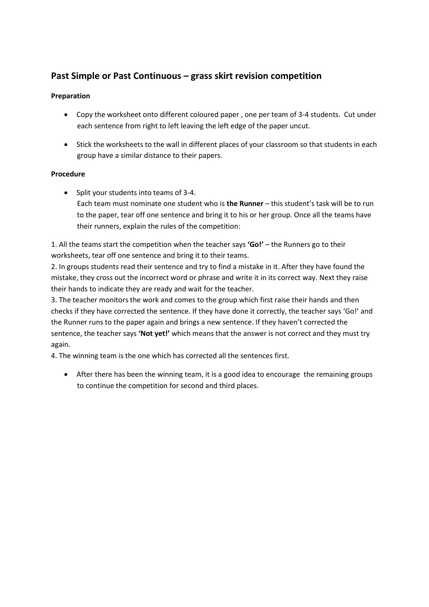## **Past Simple or Past Continuous – grass skirt revision competition**

## **Preparation**

- Copy the worksheet onto different coloured paper , one per team of 3-4 students. Cut under each sentence from right to left leaving the left edge of the paper uncut.
- Stick the worksheets to the wall in different places of your classroom so that students in each group have a similar distance to their papers.

## **Procedure**

• Split your students into teams of 3-4. Each team must nominate one student who is **the Runner** – this student's task will be to run to the paper, tear off one sentence and bring it to his or her group. Once all the teams have their runners, explain the rules of the competition:

1. All the teams start the competition when the teacher says **'Go!'** – the Runners go to their worksheets, tear off one sentence and bring it to their teams.

2. In groups students read their sentence and try to find a mistake in it. After they have found the mistake, they cross out the incorrect word or phrase and write it in its correct way. Next they raise their hands to indicate they are ready and wait for the teacher.

3. The teacher monitors the work and comes to the group which first raise their hands and then checks if they have corrected the sentence. If they have done it correctly, the teacher says 'Go!' and the Runner runs to the paper again and brings a new sentence. If they haven't corrected the sentence, the teacher says **'Not yet!'** which means that the answer is not correct and they must try again.

4. The winning team is the one which has corrected all the sentences first.

 After there has been the winning team, it is a good idea to encourage the remaining groups to continue the competition for second and third places.